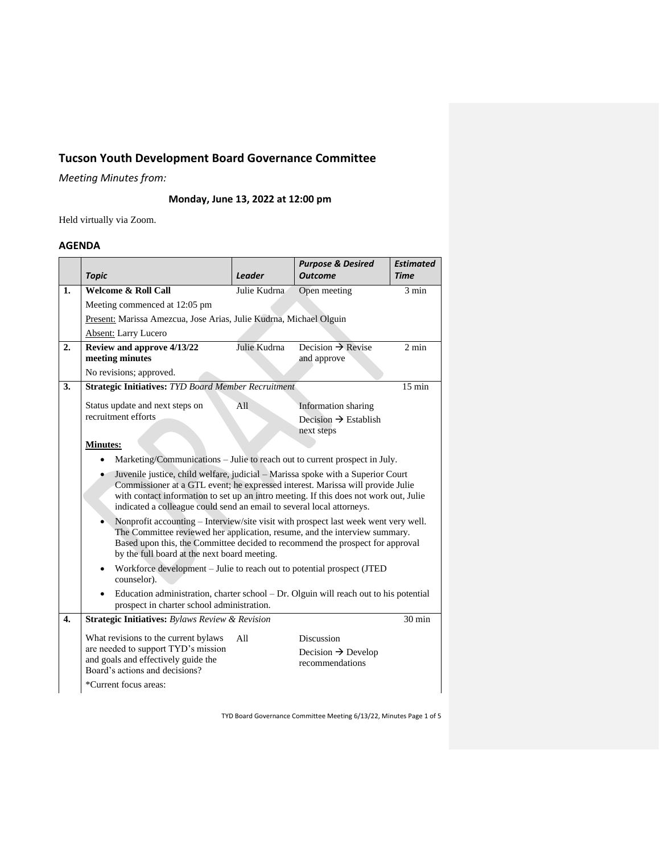# **Tucson Youth Development Board Governance Committee**

*Meeting Minutes from:*

**Monday, June 13, 2022 at 12:00 pm**

Held virtually via Zoom.

## **AGENDA**

|    | <b>Topic</b>                                                                                                                                                                                                                                                                                                                        | <b>Leader</b> | <b>Purpose &amp; Desired</b><br><b>Outcome</b>                         | <b>Estimated</b><br><b>Time</b> |  |  |
|----|-------------------------------------------------------------------------------------------------------------------------------------------------------------------------------------------------------------------------------------------------------------------------------------------------------------------------------------|---------------|------------------------------------------------------------------------|---------------------------------|--|--|
| 1. | <b>Welcome &amp; Roll Call</b>                                                                                                                                                                                                                                                                                                      | Julie Kudrna  | Open meeting                                                           | 3 min                           |  |  |
|    | Meeting commenced at 12:05 pm                                                                                                                                                                                                                                                                                                       |               |                                                                        |                                 |  |  |
|    | Present: Marissa Amezcua, Jose Arias, Julie Kudrna, Michael Olguin                                                                                                                                                                                                                                                                  |               |                                                                        |                                 |  |  |
|    | Absent: Larry Lucero                                                                                                                                                                                                                                                                                                                |               |                                                                        |                                 |  |  |
| 2. | Review and approve 4/13/22<br>meeting minutes                                                                                                                                                                                                                                                                                       | Julie Kudrna  | Decision $\rightarrow$ Revise<br>and approve                           | $2 \text{ min}$                 |  |  |
|    | No revisions; approved.                                                                                                                                                                                                                                                                                                             |               |                                                                        |                                 |  |  |
| 3. | <b>Strategic Initiatives: TYD Board Member Recruitment</b><br>$15 \text{ min}$                                                                                                                                                                                                                                                      |               |                                                                        |                                 |  |  |
|    | Status update and next steps on                                                                                                                                                                                                                                                                                                     | A11           | <b>Information</b> sharing                                             |                                 |  |  |
|    | recruitment efforts                                                                                                                                                                                                                                                                                                                 |               | Decision $\rightarrow$ Establish<br>next steps                         |                                 |  |  |
|    | <b>Minutes:</b>                                                                                                                                                                                                                                                                                                                     |               |                                                                        |                                 |  |  |
|    | Marketing/Communications – Julie to reach out to current prospect in July.<br>$\bullet$                                                                                                                                                                                                                                             |               |                                                                        |                                 |  |  |
|    | Juvenile justice, child welfare, judicial - Marissa spoke with a Superior Court<br>Commissioner at a GTL event; he expressed interest. Marissa will provide Julie<br>with contact information to set up an intro meeting. If this does not work out, Julie<br>indicated a colleague could send an email to several local attorneys. |               |                                                                        |                                 |  |  |
|    | Nonprofit accounting – Interview/site visit with prospect last week went very well.<br>۰<br>The Committee reviewed her application, resume, and the interview summary.<br>Based upon this, the Committee decided to recommend the prospect for approval<br>by the full board at the next board meeting.                             |               |                                                                        |                                 |  |  |
|    | Workforce development – Julie to reach out to potential prospect (JTED<br>$\bullet$<br>counselor).                                                                                                                                                                                                                                  |               |                                                                        |                                 |  |  |
|    | Education administration, charter school – Dr. Olguin will reach out to his potential<br>prospect in charter school administration.                                                                                                                                                                                                 |               |                                                                        |                                 |  |  |
| 4. | Strategic Initiatives: Bylaws Review & Revision                                                                                                                                                                                                                                                                                     |               |                                                                        | $30 \text{ min}$                |  |  |
|    | What revisions to the current bylaws<br>are needed to support TYD's mission<br>and goals and effectively guide the<br>Board's actions and decisions?<br>*Current focus areas:                                                                                                                                                       | A11           | <b>Discussion</b><br>Decision $\rightarrow$ Develop<br>recommendations |                                 |  |  |

TYD Board Governance Committee Meeting 6/13/22, Minutes Page 1 of 5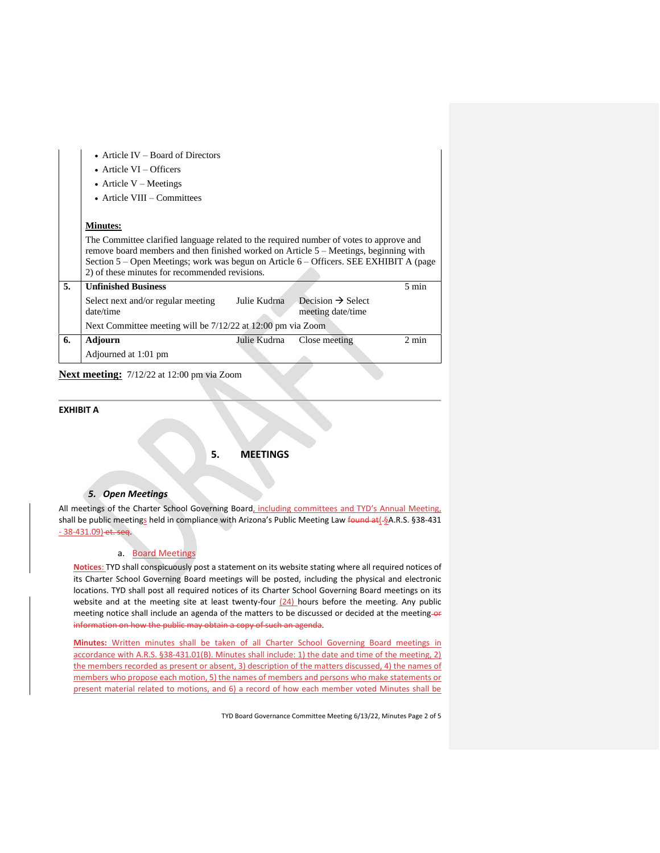|    | • Article IV – Board of Directors<br>• Article $VI -$ Officers<br>• Article $V$ – Meetings<br>$\bullet$ Article VIII – Committees                                                                                                                                                                                                                 |              |                                                    |                 |  |  |  |
|----|---------------------------------------------------------------------------------------------------------------------------------------------------------------------------------------------------------------------------------------------------------------------------------------------------------------------------------------------------|--------------|----------------------------------------------------|-----------------|--|--|--|
|    | <b>Minutes:</b><br>The Committee clarified language related to the required number of votes to approve and<br>remove board members and then finished worked on Article $5 -$ Meetings, beginning with<br>Section 5 – Open Meetings; work was begun on Article 6 – Officers. SEE EXHIBIT A (page<br>2) of these minutes for recommended revisions. |              |                                                    |                 |  |  |  |
| 5. | <b>Unfinished Business</b>                                                                                                                                                                                                                                                                                                                        |              |                                                    | $5 \text{ min}$ |  |  |  |
|    | Select next and/or regular meeting<br>date/time                                                                                                                                                                                                                                                                                                   | Julie Kudrna | Decision $\rightarrow$ Select<br>meeting date/time |                 |  |  |  |
|    | Next Committee meeting will be 7/12/22 at 12:00 pm via Zoom                                                                                                                                                                                                                                                                                       |              |                                                    |                 |  |  |  |
| 6. | Adjourn                                                                                                                                                                                                                                                                                                                                           | Julie Kudrna | Close meeting                                      | $2 \text{ min}$ |  |  |  |
|    | Adjourned at 1:01 pm                                                                                                                                                                                                                                                                                                                              |              |                                                    |                 |  |  |  |

**Next meeting:** 7/12/22 at 12:00 pm via Zoom

## **EXHIBIT A**

**5. MEETINGS**

## *5. Open Meetings*

All meetings of the Charter School Governing Board, including committees and TYD's Annual Meeting, shall be public meetings held in compliance with Arizona's Public Meeting Law found at[-§A.R.S. §38-431 - 38-431.09) et. seq.

### a. Board Meetings

**Notices**: TYD shall conspicuously post a statement on its website stating where all required notices of its Charter School Governing Board meetings will be posted, including the physical and electronic locations. TYD shall post all required notices of its Charter School Governing Board meetings on its website and at the meeting site at least twenty-four  $(24)$  hours before the meeting. Any public meeting notice shall include an agenda of the matters to be discussed or decided at the meeting-or information on how the public may obtain a copy of such an agenda.

**Minutes:** Written minutes shall be taken of all Charter School Governing Board meetings in accordance with A.R.S. §38-431.01(B). Minutes shall include: 1) the date and time of the meeting, 2) the members recorded as present or absent, 3) description of the matters discussed, 4) the names of members who propose each motion, 5) the names of members and persons who make statements or present material related to motions, and 6) a record of how each member voted Minutes shall be

TYD Board Governance Committee Meeting 6/13/22, Minutes Page 2 of 5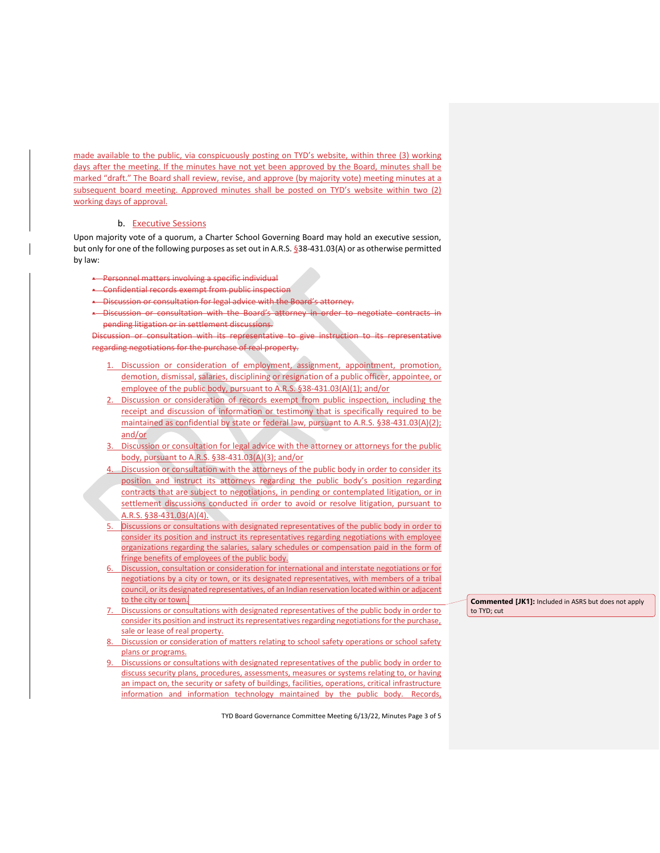made available to the public, via conspicuously posting on TYD's website, within three (3) working days after the meeting. If the minutes have not yet been approved by the Board, minutes shall be marked "draft." The Board shall review, revise, and approve (by majority vote) meeting minutes at a subsequent board meeting. Approved minutes shall be posted on TYD's website within two (2) working days of approval.

#### b. Executive Sessions

Upon majority vote of a quorum, a Charter School Governing Board may hold an executive session, but only for one of the following purposes as set out in A.R.S. §38-431.03(A) or as otherwise permitted by law:

- Personnel matters involving a specific individual
- Confidential records exempt from public inspection
- -Discussion or consultation for legal advice with the Board's attorney.
- Discussion or consultation with the Board's attorney in order to negotiate contracts in pending litigation or in settlement discussions.

Discussion or consultation with its representative to give instruction to its representative regarding negotiations for the purchase of real property.

- 1. Discussion or consideration of employment, assignment, appointment, promotion, demotion, dismissal, salaries, disciplining or resignation of a public officer, appointee, or employee of the public body, pursuant to A.R.S. §38-431.03(A)(1); and/or
- 2. Discussion or consideration of records exempt from public inspection, including the receipt and discussion of information or testimony that is specifically required to be maintained as confidential by state or federal law, pursuant to A.R.S. §38-431.03(A)(2); and/or
- Discussion or consultation for legal advice with the attorney or attorneys for the public body, pursuant to A.R.S. §38-431.03(A)(3); and/or
- 4. Discussion or consultation with the attorneys of the public body in order to consider its position and instruct its attorneys regarding the public body's position regarding contracts that are subject to negotiations, in pending or contemplated litigation, or in settlement discussions conducted in order to avoid or resolve litigation, pursuant to A.R.S. §38-431.03(A)(4).
- Discussions or consultations with designated representatives of the public body in order to consider its position and instruct its representatives regarding negotiations with employee organizations regarding the salaries, salary schedules or compensation paid in the form of fringe benefits of employees of the public body.
- Discussion, consultation or consideration for international and interstate negotiations or for negotiations by a city or town, or its designated representatives, with members of a tribal council, or its designated representatives, of an Indian reservation located within or adjacent to the city or town.
- Discussions or consultations with designated representatives of the public body in order to consider its position and instruct its representatives regarding negotiations for the purchase, sale or lease of real property.
- Discussion or consideration of matters relating to school safety operations or school safety plans or programs.
- Discussions or consultations with designated representatives of the public body in order to discuss security plans, procedures, assessments, measures or systems relating to, or having an impact on, the security or safety of buildings, facilities, operations, critical infrastructure information and information technology maintained by the public body. Records,

TYD Board Governance Committee Meeting 6/13/22, Minutes Page 3 of 5

**Commented [JK1]:** Included in ASRS but does not apply to TYD; cut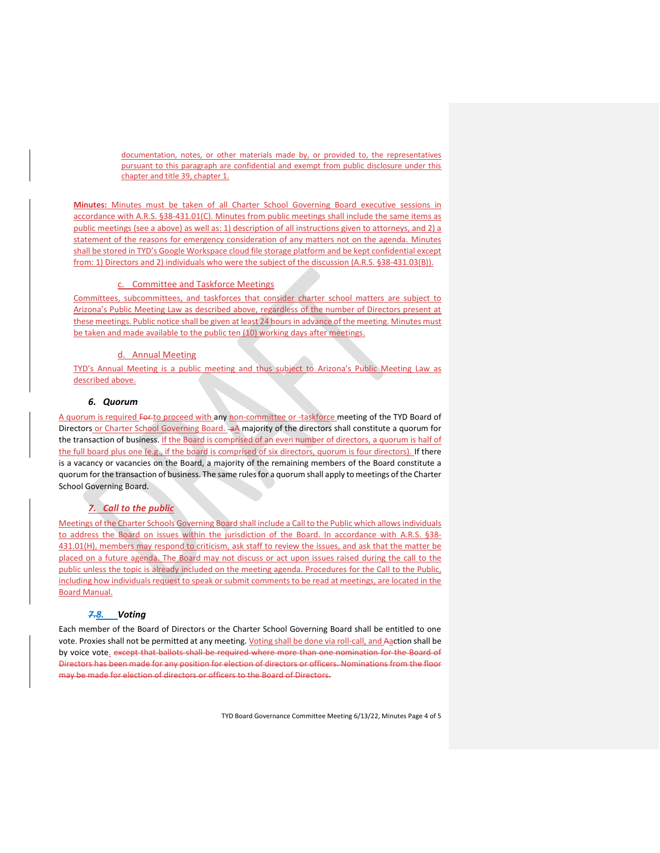documentation, notes, or other materials made by, or provided to, the representatives pursuant to this paragraph are confidential and exempt from public disclosure under this chapter and title 39, chapter 1.

**Minutes:** Minutes must be taken of all Charter School Governing Board executive sessions in accordance with A.R.S. §38-431.01(C). Minutes from public meetings shall include the same items as public meetings (see a above) as well as: 1) description of all instructions given to attorneys, and 2) a statement of the reasons for emergency consideration of any matters not on the agenda. Minutes shall be stored in TYD's Google Workspace cloud file storage platform and be kept confidential except from: 1) Directors and 2) individuals who were the subject of the discussion (A.R.S. §38-431.03(B)).

#### c. Committee and Taskforce Meetings

Committees, subcommittees, and taskforces that consider charter school matters are subject to Arizona's Public Meeting Law as described above, regardless of the number of Directors present at these meetings. Public notice shall be given at least 24 hours in advance of the meeting. Minutes must be taken and made available to the public ten (10) working days after meetings.

#### d. Annual Meeting

TYD's Annual Meeting is a public meeting and thus subject to Arizona's Public Meeting Law as described above.

#### *6. Quorum*

A quorum is required For to proceed with any non-committee or -taskforce meeting of the TYD Board of Directors or Charter School Governing Board. aA majority of the directors shall constitute a quorum for the transaction of business. If the Board is comprised of an even number of directors, a quorum is half of the full board plus one (e.g., if the board is comprised of six directors, quorum is four directors). If there is a vacancy or vacancies on the Board, a majority of the remaining members of the Board constitute a quorum for the transaction of business. The same rules for a quorum shall apply to meetings of the Charter School Governing Board.

## *7. Call to the public*

Meetings of the Charter Schools Governing Board shall include a Call to the Public which allows individuals to address the Board on issues within the jurisdiction of the Board. In accordance with A.R.S. §38-431.01(H), members may respond to criticism, ask staff to review the issues, and ask that the matter be placed on a future agenda. The Board may not discuss or act upon issues raised during the call to the public unless the topic is already included on the meeting agenda. Procedures for the Call to the Public, including how individuals request to speak or submit comments to be read at meetings, are located in the Board Manual.

## *7.8. Voting*

Each member of the Board of Directors or the Charter School Governing Board shall be entitled to one vote. Proxies shall not be permitted at any meeting. Voting shall be done via roll-call, and Aaction shall be by voice vote. except that ballots shall be required where more than one nomination for the Board of Directors has been made for any position for election of directors or officers. Nominations from the floor may be made for election of directors or officers to the Board of Directors.

TYD Board Governance Committee Meeting 6/13/22, Minutes Page 4 of 5